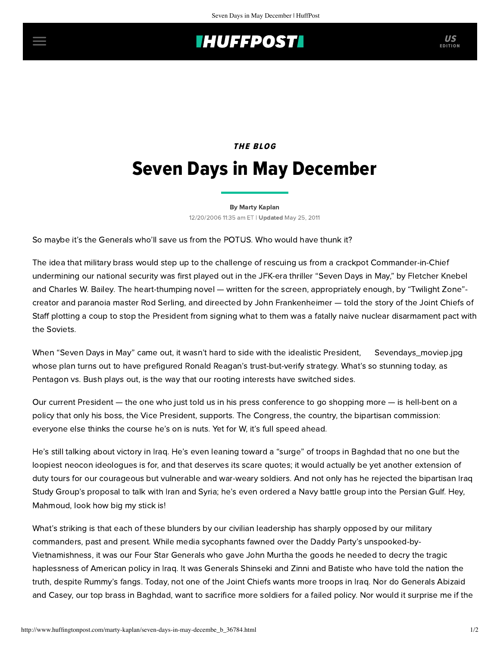## **INUFFPOSTI** US

# THE BLOG Seven Days in May December

#### [By Marty Kaplan](http://www.huffingtonpost.com/author/marty-kaplan)

12/20/2006 11:35 am ET | Updated May 25, 2011

So maybe it's the Generals who'll save us from the POTUS. Who would have thunk it?

The idea that military brass would step up to the challenge of rescuing us from a crackpot Commander-in-Chief undermining our national security was first played out in the JFK-era thriller "Seven Days in May," by Fletcher Knebel and Charles W. Bailey. The heart-thumping novel — written for the screen, appropriately enough, by "Twilight Zone" creator and paranoia master Rod Serling, and direected by John Frankenheimer — told the story of the Joint Chiefs of Staff plotting a coup to stop the President from signing what to them was a fatally naive nuclear disarmament pact with the Soviets.

Sevendays\_moviep.jpg When "Seven Days in May" came out, it wasn't hard to side with the idealistic President, whose plan turns out to have prefigured Ronald Reagan's trust-but-verify strategy. What's so stunning today, as Pentagon vs. Bush plays out, is the way that our rooting interests have switched sides.

Our current President — the one who just told us in his press conference to go shopping more — is hell-bent on a policy that only his boss, the Vice President, supports. The Congress, the country, the bipartisan commission: everyone else thinks the course he's on is nuts. Yet for W, it's full speed ahead.

He's still talking about victory in Iraq. He's even leaning toward a "surge" of troops in Baghdad that no one but the loopiest neocon ideologues is for, and that deserves its scare quotes; it would actually be yet another extension of duty tours for our courageous but vulnerable and war-weary soldiers. And not only has he rejected the bipartisan Iraq Study Group's proposal to talk with Iran and Syria; he's even ordered a Navy battle group into the Persian Gulf. Hey, Mahmoud, look how big my stick is!

What's striking is that each of these blunders by our civilian leadership has sharply opposed by our military commanders, past and present. While media sycophants fawned over the Daddy Party's unspooked-by-Vietnamishness, it was our Four Star Generals who gave John Murtha the goods he needed to decry the tragic haplessness of American policy in Iraq. It was Generals Shinseki and Zinni and Batiste who have told the nation the truth, despite Rummy's fangs. Today, not one of the Joint Chiefs wants more troops in Iraq. Nor do Generals Abizaid and Casey, our top brass in Baghdad, want to sacrifice more soldiers for a failed policy. Nor would it surprise me if the